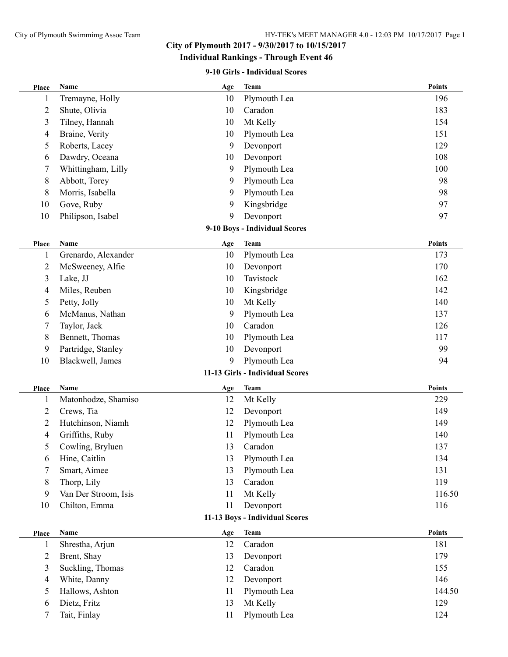## **City of Plymouth 2017 - 9/30/2017 to 10/15/2017**

## **Individual Rankings - Through Event 46**

#### **9-10 Girls - Individual Scores**

| Place                         | Name                 | Age | <b>Team</b>                     | <b>Points</b> |  |  |  |  |  |
|-------------------------------|----------------------|-----|---------------------------------|---------------|--|--|--|--|--|
| 1                             | Tremayne, Holly      | 10  | Plymouth Lea                    | 196           |  |  |  |  |  |
| 2                             | Shute, Olivia        | 10  | Caradon                         | 183           |  |  |  |  |  |
| 3                             | Tilney, Hannah       | 10  | Mt Kelly                        | 154           |  |  |  |  |  |
| 4                             | Braine, Verity       | 10  | Plymouth Lea                    | 151           |  |  |  |  |  |
| 5                             | Roberts, Lacey       | 9   | Devonport                       | 129           |  |  |  |  |  |
| 6                             | Dawdry, Oceana       | 10  | Devonport                       | 108           |  |  |  |  |  |
| 7                             | Whittingham, Lilly   | 9   | Plymouth Lea                    | 100           |  |  |  |  |  |
| 8                             | Abbott, Torey        | 9   | Plymouth Lea                    | 98            |  |  |  |  |  |
| 8                             | Morris, Isabella     | 9   | Plymouth Lea                    | 98            |  |  |  |  |  |
| 10                            | Gove, Ruby           | 9   | Kingsbridge                     | 97            |  |  |  |  |  |
| 10                            | Philipson, Isabel    | 9   | Devonport                       | 97            |  |  |  |  |  |
| 9-10 Boys - Individual Scores |                      |     |                                 |               |  |  |  |  |  |
| Place                         | <b>Name</b>          | Age | <b>Team</b>                     | <b>Points</b> |  |  |  |  |  |
| 1                             | Grenardo, Alexander  | 10  | Plymouth Lea                    | 173           |  |  |  |  |  |
| 2                             | McSweeney, Alfie     | 10  | Devonport                       | 170           |  |  |  |  |  |
| 3                             | Lake, JJ             | 10  | Tavistock                       | 162           |  |  |  |  |  |
| 4                             | Miles, Reuben        | 10  | Kingsbridge                     | 142           |  |  |  |  |  |
| 5                             | Petty, Jolly         | 10  | Mt Kelly                        | 140           |  |  |  |  |  |
| 6                             | McManus, Nathan      | 9   | Plymouth Lea                    | 137           |  |  |  |  |  |
| 7                             | Taylor, Jack         | 10  | Caradon                         | 126           |  |  |  |  |  |
| 8                             | Bennett, Thomas      | 10  | Plymouth Lea                    | 117           |  |  |  |  |  |
| 9                             | Partridge, Stanley   | 10  | Devonport                       | 99            |  |  |  |  |  |
| 10                            | Blackwell, James     | 9   | Plymouth Lea                    | 94            |  |  |  |  |  |
|                               |                      |     | 11-13 Girls - Individual Scores |               |  |  |  |  |  |
| Place                         | Name                 | Age | <b>Team</b>                     | <b>Points</b> |  |  |  |  |  |
| 1                             | Matonhodze, Shamiso  | 12  | Mt Kelly                        | 229           |  |  |  |  |  |
| 2                             | Crews, Tia           | 12  | Devonport                       | 149           |  |  |  |  |  |
| 2                             | Hutchinson, Niamh    | 12  | Plymouth Lea                    | 149           |  |  |  |  |  |
| 4                             | Griffiths, Ruby      | 11  | Plymouth Lea                    | 140           |  |  |  |  |  |
| 5                             | Cowling, Bryluen     | 13  | Caradon                         | 137           |  |  |  |  |  |
| 6                             | Hine, Caitlin        | 13  | Plymouth Lea                    | 134           |  |  |  |  |  |
| 7                             | Smart, Aimee         | 13  | Plymouth Lea                    | 131           |  |  |  |  |  |
| 8                             | Thorp, Lily          | 13  | Caradon                         | 119           |  |  |  |  |  |
| 9                             | Van Der Stroom, Isis | 11  | Mt Kelly                        | 116.50        |  |  |  |  |  |
| 10                            | Chilton, Emma        | 11  | Devonport                       | 116           |  |  |  |  |  |
|                               |                      |     | 11-13 Boys - Individual Scores  |               |  |  |  |  |  |
| Place                         | Name                 | Age | <b>Team</b>                     | <b>Points</b> |  |  |  |  |  |
| 1                             | Shrestha, Arjun      | 12  | Caradon                         | 181           |  |  |  |  |  |
| 2                             | Brent, Shay          | 13  | Devonport                       | 179           |  |  |  |  |  |
| 3                             | Suckling, Thomas     | 12  | Caradon                         | 155           |  |  |  |  |  |
| 4                             | White, Danny         | 12  | Devonport                       | 146           |  |  |  |  |  |
| 5                             | Hallows, Ashton      | 11  | Plymouth Lea                    | 144.50        |  |  |  |  |  |
| 6                             | Dietz, Fritz         | 13  | Mt Kelly                        | 129           |  |  |  |  |  |
| 7                             | Tait, Finlay         | 11  | Plymouth Lea                    | 124           |  |  |  |  |  |
|                               |                      |     |                                 |               |  |  |  |  |  |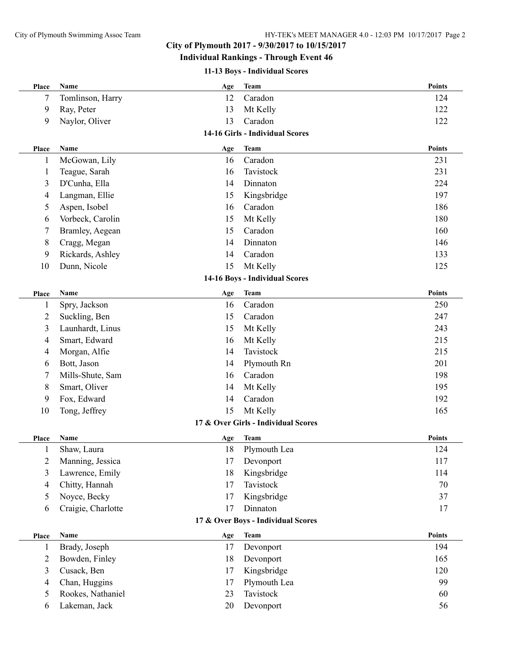### **City of Plymouth 2017 - 9/30/2017 to 10/15/2017**

### **Individual Rankings - Through Event 46**

#### **11-13 Boys - Individual Scores**

| Place          | Name               | Age       | <b>Team</b>                         | <b>Points</b> |
|----------------|--------------------|-----------|-------------------------------------|---------------|
| 7              | Tomlinson, Harry   | 12        | Caradon                             | 124           |
| 9              | Ray, Peter         | 13        | Mt Kelly                            | 122           |
| 9              | Naylor, Oliver     | 13        | Caradon                             | 122           |
|                |                    |           | 14-16 Girls - Individual Scores     |               |
| Place          | Name               | Age       | <b>Team</b>                         | <b>Points</b> |
| $\mathbf{1}$   | McGowan, Lily      | 16        | Caradon                             | 231           |
| 1              | Teague, Sarah      | 16        | Tavistock                           | 231           |
| 3              | D'Cunha, Ella      | 14        | Dinnaton                            | 224           |
| 4              | Langman, Ellie     | 15        | Kingsbridge                         | 197           |
| 5              | Aspen, Isobel      | 16        | Caradon                             | 186           |
| 6              | Vorbeck, Carolin   | 15        | Mt Kelly                            | 180           |
| 7              | Bramley, Aegean    | 15        | Caradon                             | 160           |
| 8              | Cragg, Megan       | 14        | Dinnaton                            | 146           |
| 9              | Rickards, Ashley   | 14        | Caradon                             | 133           |
| 10             | Dunn, Nicole       | 15        | Mt Kelly                            | 125           |
|                |                    |           | 14-16 Boys - Individual Scores      |               |
| Place          | Name               | Age       | <b>Team</b>                         | <b>Points</b> |
| $\mathbf{1}$   | Spry, Jackson      | 16        | Caradon                             | 250           |
| 2              | Suckling, Ben      | 15        | Caradon                             | 247           |
| 3              | Launhardt, Linus   | 15        | Mt Kelly                            | 243           |
| 4              | Smart, Edward      | 16        | Mt Kelly                            | 215           |
| 4              | Morgan, Alfie      | 14        | Tavistock                           | 215           |
| 6              | Bott, Jason        | 14        | Plymouth Rn                         | 201           |
| 7              | Mills-Shute, Sam   | 16        | Caradon                             | 198           |
| 8              | Smart, Oliver      | 14        | Mt Kelly                            | 195           |
| 9              | Fox, Edward        | 14        | Caradon                             | 192           |
| 10             | Tong, Jeffrey      | 15        | Mt Kelly                            | 165           |
|                |                    |           | 17 & Over Girls - Individual Scores |               |
| Place          | Name               | Age       | <b>Team</b>                         | <b>Points</b> |
| 1              | Shaw, Laura        | 18        | Plymouth Lea                        | 124           |
| 2              | Manning, Jessica   | 17        | Devonport                           | 117           |
| 3              | Lawrence, Emily    | 18        | Kingsbridge                         | 114           |
| 4              | Chitty, Hannah     | 17        | Tavistock                           | 70            |
| 5              | Noyce, Becky       | 17        | Kingsbridge                         | 37            |
| 6              | Craigie, Charlotte | 17        | Dinnaton                            | 17            |
|                |                    |           | 17 & Over Boys - Individual Scores  |               |
|                | Name               |           | <b>Team</b>                         | <b>Points</b> |
| Place<br>1     | Brady, Joseph      | Age<br>17 | Devonport                           | 194           |
| 2              | Bowden, Finley     | 18        | Devonport                           | 165           |
| 3              | Cusack, Ben        | 17        | Kingsbridge                         | 120           |
| $\overline{4}$ | Chan, Huggins      | 17        | Plymouth Lea                        | 99            |
| 5              | Rookes, Nathaniel  | 23        | Tavistock                           | 60            |
| 6              | Lakeman, Jack      | 20        | Devonport                           | 56            |
|                |                    |           |                                     |               |